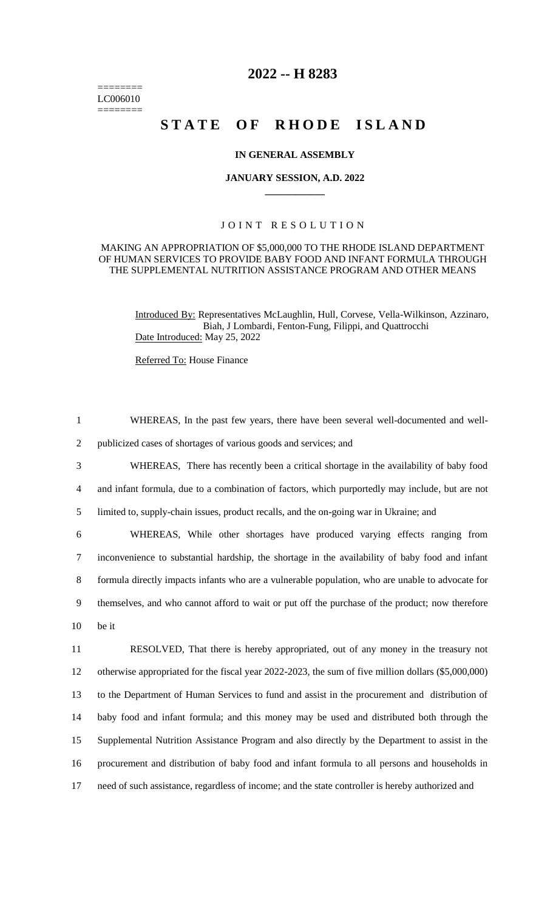======== LC006010 ========

# **2022 -- H 8283**

# STATE OF RHODE ISLAND

#### **IN GENERAL ASSEMBLY**

#### **JANUARY SESSION, A.D. 2022 \_\_\_\_\_\_\_\_\_\_\_\_**

### JOINT RESOLUTION

#### MAKING AN APPROPRIATION OF \$5,000,000 TO THE RHODE ISLAND DEPARTMENT OF HUMAN SERVICES TO PROVIDE BABY FOOD AND INFANT FORMULA THROUGH THE SUPPLEMENTAL NUTRITION ASSISTANCE PROGRAM AND OTHER MEANS

Introduced By: Representatives McLaughlin, Hull, Corvese, Vella-Wilkinson, Azzinaro, Biah, J Lombardi, Fenton-Fung, Filippi, and Quattrocchi Date Introduced: May 25, 2022

Referred To: House Finance

 WHEREAS, In the past few years, there have been several well-documented and well- publicized cases of shortages of various goods and services; and WHEREAS, There has recently been a critical shortage in the availability of baby food and infant formula, due to a combination of factors, which purportedly may include, but are not limited to, supply-chain issues, product recalls, and the on-going war in Ukraine; and WHEREAS, While other shortages have produced varying effects ranging from inconvenience to substantial hardship, the shortage in the availability of baby food and infant formula directly impacts infants who are a vulnerable population, who are unable to advocate for themselves, and who cannot afford to wait or put off the purchase of the product; now therefore 10 be it RESOLVED, That there is hereby appropriated, out of any money in the treasury not otherwise appropriated for the fiscal year 2022-2023, the sum of five million dollars (\$5,000,000) to the Department of Human Services to fund and assist in the procurement and distribution of baby food and infant formula; and this money may be used and distributed both through the Supplemental Nutrition Assistance Program and also directly by the Department to assist in the procurement and distribution of baby food and infant formula to all persons and households in need of such assistance, regardless of income; and the state controller is hereby authorized and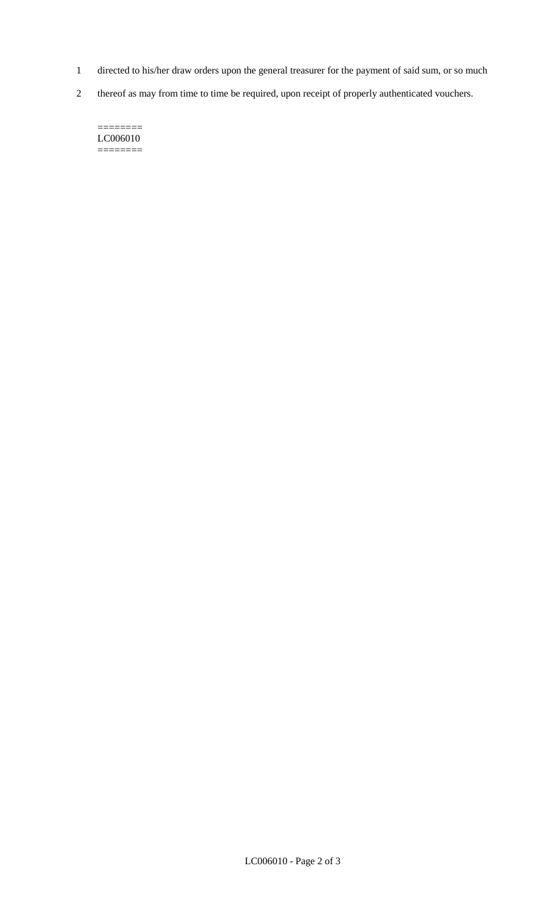- 1 directed to his/her draw orders upon the general treasurer for the payment of said sum, or so much
- 2 thereof as may from time to time be required, upon receipt of properly authenticated vouchers.

======== LC006010  $=$